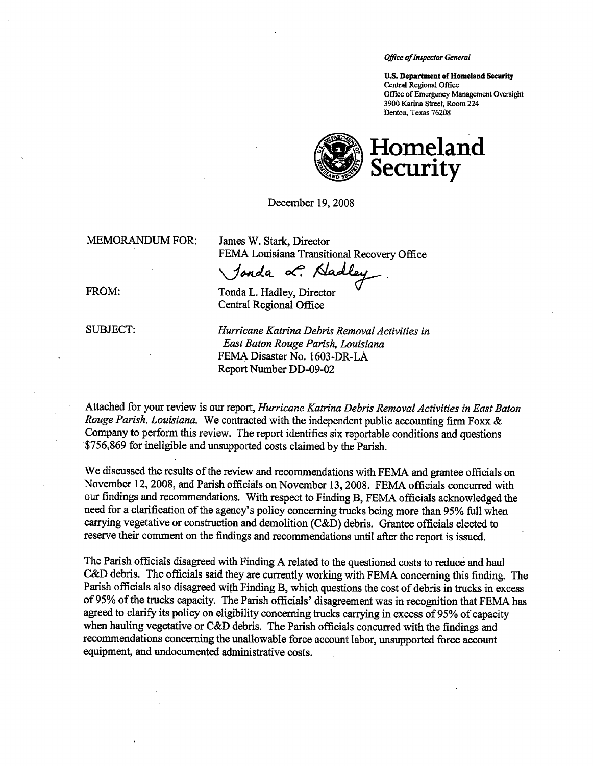Office of Inspector General

U.S. Department of Homeland Security Central Regional Office Office of Emergency Management Oversight 3900 Karina Street, Room 224 Denton, Texas 76208



December 19,2008

MEMORADUM FOR: James W. Stark, Director

FEMA Louisiana Transitional Recovery Office

Jonda L. Nadler

FROM: Tonda L. Hadley, Director

Central Regional Office

SUBJECT: Hurricane Katrina Debris Removal Activities in East Baton Rouge Parish, Louisiana FEMA Disaster No. 1603-DR-LA Report Number DD-09-02

Attached for your review is our report, Hurricane Katrina Debris Removal Activities in East Baton Rouge Parish, Louisiana. We contracted with the independent public accounting firm Foxx & Company to perform this review. The report identifies six reportable conditions and questions '\$756,869 for ineligible and unsupported costs claimed by the Parsh.

We discussed the results of the review and recommendations with FEMA and grantee officials on November 12, 2008, and Parish officials on November 13, 2008. FEMA officials concurred with our findings and recommendations. With respect to Finding B, FEMA offcials acknowledged the need for a clarfication of the agency's policy concerning trucks being more than 95% ful when carrying vegetative or construction and demolition (C&D) debris. Grantee officials elected to reserve their comment on the findings and recommendations until after the report is issued.

The Parish officials disagreed with Finding A related to the questioned costs to reduce and haul C&D debris. The officials said they are currently working with FEMA concerning this finding. The Parish officials also disagreed with Finding B, which questions the cost of debris in trucks in excess of 95% of the trucks capacity. The Parish officials' disagreement was in recognition that FEMA has agreed to clarify its policy on eligibility concerning trucks carrying in excess of 95% of capacity when hauling vegetative or C&D debris. The Parish officials concurred with the findings and recommendations concering the unallowable force account labor, unsupported force account equipment, and undocumented administrative costs.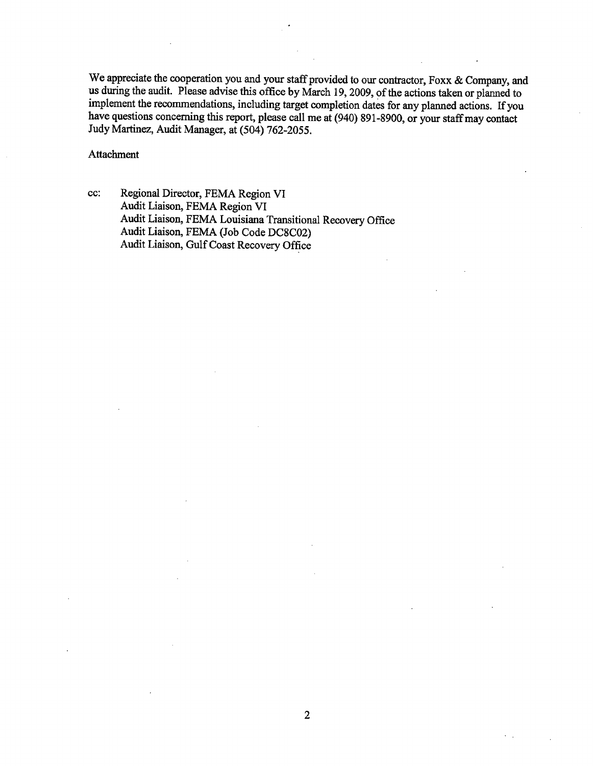We appreciate the cooperation you and your staff provided to our contractor, Foxx & Company, and us during the audit. Please advise this office by March 19, 2009, of the actions taken or planned to implement the recommendations, including target completion dates for any planned actions. If you have questions concernng this report, please call me at (940) 891-8900, or your staff may contact Judy Martinez, Audit Manager, at (504) 762-2055.

Attachment

cc: Regional Director, FEMA Region VI Audit Liaison, FEMA Region VI Audit Liaison, FEMA Louisiana Transitional Recovery Office Audit Liaison, FEMA (Job Code DC8C02) Audit Liaison, Gulf Coast Recovery Office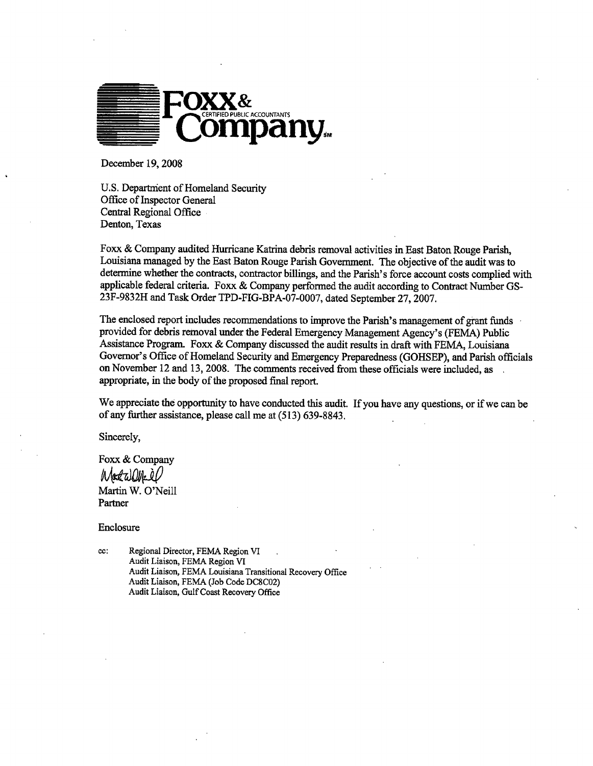

December 19,2008

U.S. Department of Homeland Security Office of Inspector General Central Regional Office Denton, Texas

Foxx & Company audited Hurricane Katrina debris removal activities in East Baton Rouge Parish, Louisiana managed by the East Baton Rouge Parsh Governent. The objective of the audit was to determine whether the contracts, contractor billings, and the Parish's force account costs complied with applicable federal criteria. Foxx & Company performed the audit according to Contract Number GS-23F-9832H and Task Order TPD-FIG-BPA-07-0007, dated September 27,2007.

The enclosed report includes recommendations to improve the Parsh's management of grant fuds provided for debris removal under the Federal Emergency Management Agency's (FEMA) Public Assistance Program. Foxx & Company discussed the audit results in draft with FEMA, Louisiana Governor's Office of Homeland Security and Emergency Preparedness (GOHSEP), and Parish officials on November 12 and 13, 2008. The comments received from these officials were included, as appropriate, in the body of the proposed fial report.

We appreciate the opportunity to have conducted this audit. If you have any questions, or if we can be of any further assistance, please call me at (513) 639-8843.

Sincerely,

Foxx & Company Madalli Martin W. O'Neill Partner

Enclosure

cc: Regional Director, FEMA Region VI Audit Liaison, FEMA Region VI Audit Liaison, FEMA Louisiana Transitional Recovery Office Audit Liaison, FEMA (Job Code DC8C02) Audit Liaison, Gulf Coast Recovery Office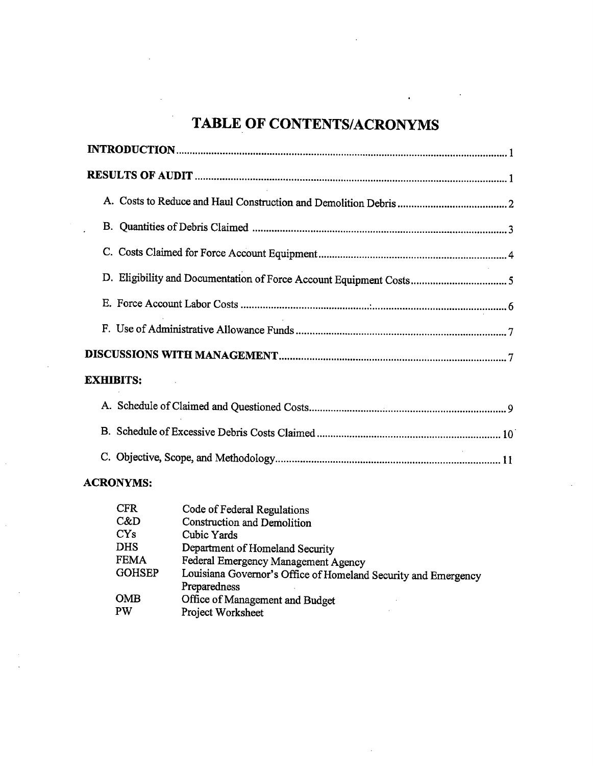# TABLE OF CONTENTS/ACRONYMS

| <b>EXHIBITS:</b>                                                 |  |
|------------------------------------------------------------------|--|
| $\Lambda$ $\Omega$ chadule of Claims 4 and $\Omega$ is $\Lambda$ |  |

## ACRONYMS:

| <b>CFR</b>    | Code of Federal Regulations                                    |
|---------------|----------------------------------------------------------------|
| C&D           | <b>Construction and Demolition</b>                             |
| CYs           | Cubic Yards                                                    |
| <b>DHS</b>    | Department of Homeland Security                                |
| <b>FEMA</b>   | Federal Emergency Management Agency                            |
| <b>GOHSEP</b> | Louisiana Governor's Office of Homeland Security and Emergency |
|               | Preparedness                                                   |
| <b>OMB</b>    | Office of Management and Budget                                |
| <b>PW</b>     | Project Worksheet                                              |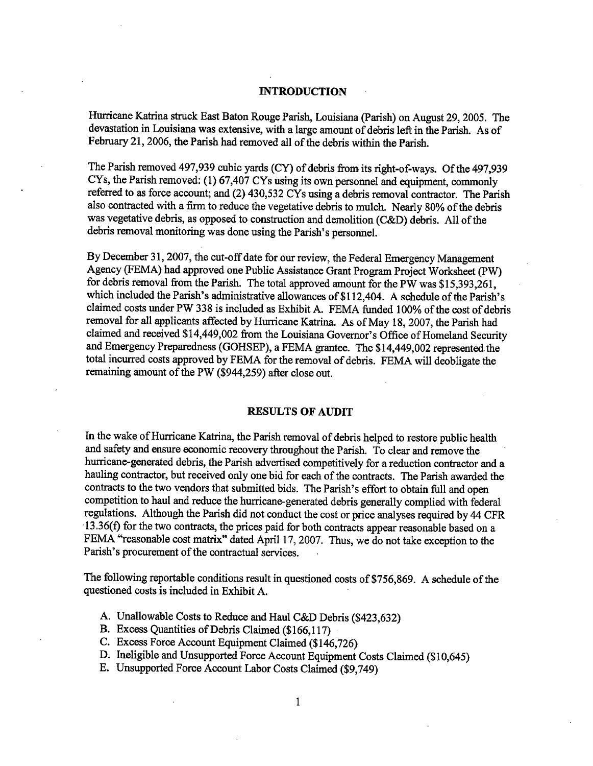#### INTRODUCTION

Hurricane Katrina struck East Baton Rouge Parish, Louisiana (Parish) on August 29, 2005. The devastation in Louisiana was extensive, with a large amount of debris left in the Parsh. As of February 21, 2006, the Parish had removed all of the debris within the Parish.

The Parish removed 497,939 cubic yards (CY) of debris from its right-of-ways. Of the 497,939 CYs, the Parish removed: (1) 67,407 CYs using its own personnel and equipment, commonly referred to as force account; and (2) 430,532 CYs using a debris removal contractor. The Parsh also contracted with a firm to reduce the vegetative debris to mulch. Nearly 80% of the debris was vegetative debris, as opposed to construction and demolition (C&D) debris. All of the debris removal monitoring was done using the Parish's personnel.

By December 31, 2007, the cut-off date for our review, the Federal Emergency Management Agency (FEMA) had approved one Public Assistance Grant Program Project Worksheet (PW) for debris removal from the Parish. The total approved amount for the PW was \$15,393,261, which included the Parish's administrative allowances of \$112,404. A schedule of the Parish's claimed costs under PW 338 is included as Exhibit A. FEMA fuded 100% of the cost of debris removal for all applicants affected by Hurricane Katrina. As of May 18, 2007, the Parish had claimed and received \$14,449,002 from the Louisiana Governor's Office of Homeland Security and Emergency Preparedness (GOHSEP), a FEMA grantee. The \$14,449,002 represented the total incured costs approved by FEMA for the removal of debris. FEMA wil deobligate the remaining amount of the PW (\$944,259) after close out.

#### RESULTS OF AUDIT

In the wake of Hurricane Katrina, the Parish removal of debris helped to restore public health and safety and ensure economic recovery thoughout the Parsh. To clear and remove the hurricane-generated debris, the Parish advertised competitively for a reduction contractor and a hauling contractor, but received only one bid for each of the contracts. The Parsh awarded the contracts to the two vendors that submitted bids. The Parish's effort to obtain full and open competition to haul and reduce the hurricane-generated debris generally complied with federal regulations. Although the Parsh did not conduct the cost or price analyses required by 44 CFR '13.36(f) for the two contracts, the prices paid for both contracts appear reasonable based on a FEMA "reasonable cost matrix" dated April 17, 2007. Thus, we do not take exception to the Parish's procurement of the contractual services.

The following reportable conditions result in questioned costs of \$756,869. A schedule of the questioned costs is included in Exhibit A.

- A. Unallowable Costs to Reduce and Haul C&D Debris (\$423,632)
- B. Excess Quantities of Debris Claimed (\$166,117)
- C. Excess Force Account Equipment Claimed (\$146,726)
- D. Ineligible and Unsupported Force Account Equipment Costs Claimed (\$10,645)
- E. Unsupported Force Account Labor Costs Claimed (\$9,749)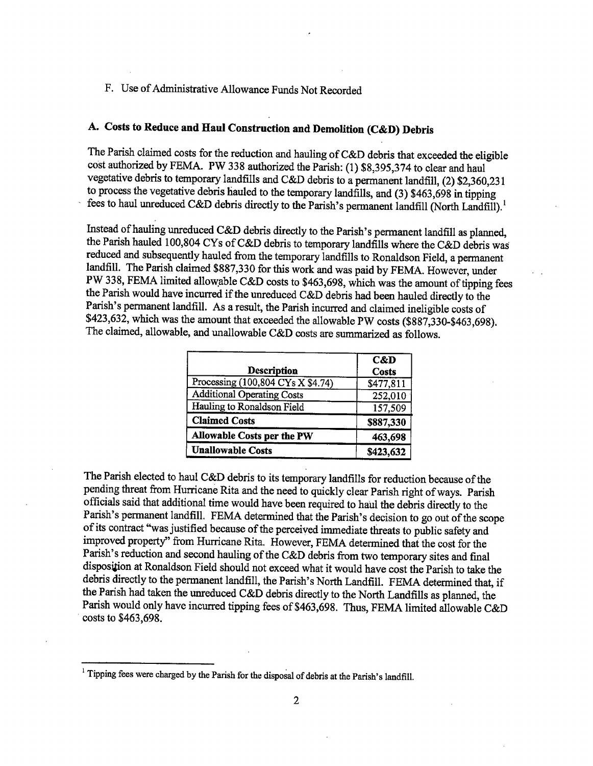## F. Use of Adminstrative Allowance Funds Not Recorded

## A. Costs to Reduce and Haul Construction and Demolition (C&D) Debris

The Parish claimed costs for the reduction and hauling of C&D debris that exceeded the eligible cost authorized by FEMA. PW 338 authorized the Parsh: (1) \$8,395,374 to clear and haul vegetative debris to temporary landfills and C&D debris to a permanent landfill, (2) \$2,360,231 to process the vegetative debris hauled to the temporary landfills, and (3) \$463,698 in tipping fees to haul unreduced C&D debris directly to the Parish's permanent landfill (North Landfill).<sup>1</sup>

Instead of hauling unreduced C&D debris directly to the Parish's permanent landfill as planned. the Parish hauled 100,804 CYs of C&D debris to temporary landfills where the C&D debris was reduced and subsequently hauled from the temporary landfills to Ronaldson Field, a permanent landfill. The Parish claimed \$887,330 for this work and was paid by FEMA. However, under  $\mathbf{F}$  w 338, FEMA limited allowable C&D costs to \$463,698, which was the amount of tipping fees the Parsh would have incurred if the unreduced C&D debris had been hauled directly to the Parish's permanent landfill. As a result, the Parish incurred and claimed ineligible costs of \$423,632, which was the amount that exceeded the allowable PW costs (\$887,330-\$463,698). The claimed, allowable, and unallowable C&D costs are summarized as follows.

|                                                             | C&D          |
|-------------------------------------------------------------|--------------|
| <b>Description</b>                                          | <b>Costs</b> |
| Processing $(100, 804 \text{ CYs} \times \overline{$4.74)}$ | \$477,811    |
| <b>Additional Operating Costs</b>                           | 252,010      |
| Hauling to Ronaldson Field                                  | 157,509      |
| <b>Claimed Costs</b>                                        | \$887,330    |
| Allowable Costs per the PW                                  | 463,698      |
| <b>Unallowable Costs</b>                                    | \$423,632    |

I he Parish elected to haul C&D debris to its temporary landfills for reduction because of the pending threat from Hurricane Rita and the need to quickly clear Parish right of ways. Parish officials said that additional time would have been required to haul the debris directly to the Parish's permanent landfill. FEMA determined that the Parish's decision to go out of the scope of its contract "was justified because of the perceived immediate threats to public safety and improved property" from Hurricane Rita. However, FEMA determined that the cost for the Parish's reduction and second hauling of the C&D debris from two temporary sites and final disposition at Ronaldson Field should not exceed what it would have cost the Parish to take the debris directly to the permanent landfill, the Parish's North Landfill. FEMA determined that, if the Parish had taken the unreduced C&D debris directly to the North Landfills as planned, the Parish would only have incurred tipping fees of \$463,698. Thus, FEMA limited allowable C&D , costs to \$463,698.

<sup>&</sup>lt;sup>1</sup> Tipping fees were charged by the Parish for the disposal of debris at the Parish's landfill.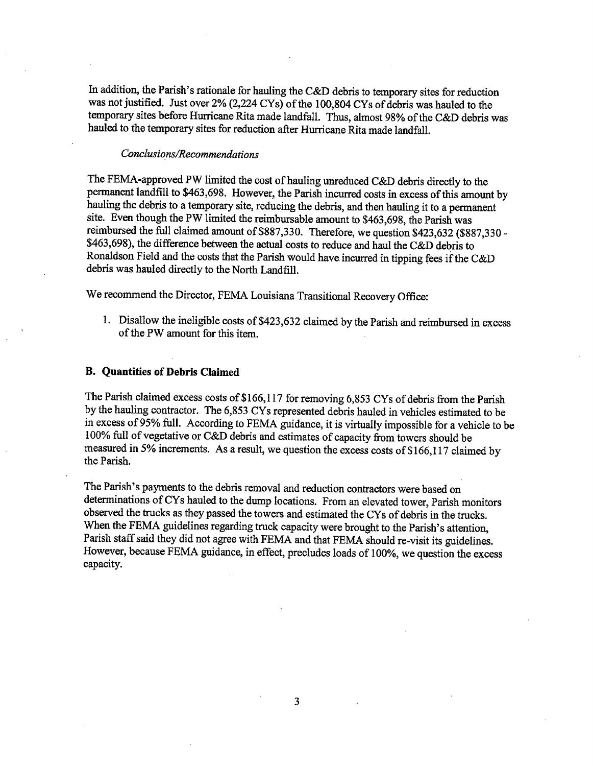In addition, the Parish's rationale for hauling the C&D debris to temporary sites for reduction was not justified. Just over  $2\%$  (2,224 CYs) of the 100,804 CYs of debris was hauled to the temporary sites before Hurricane Rita made landfall. Thus, almost 98% of the C&D debris was hauled to the temporary sites for reduction after Hurricane Rita made landfall.

## Conclusions/Recommendations

The FEMA-approved PW limited the cost of hauling unreduced C&D debris directly to the permanent landfill to \$463,698. However, the Parish incurred costs in excess of this amount by hauling the debris to a temporary site, reducing the debris, and then hauling it to a permanent site. Even though the PW limited the reimbursable amount to \$463,698, the Parish was reimbursed the full claimed amount of \$887,330. Therefore, we question \$423,632 (\$887,330 -\$463,698), the difference between the actual costs to reduce and haul the C&D debris to Ronaldson Field and the costs that the Parish would have incurred in tipping fees if the C&D debris was hauled directly to the North Landfill.

We recommend the Director, FEMA Louisiana Transitional Recovery Office:

1. Disallow the ineligible costs of \$423,632 claimed by the Parish and reimbursed in excess of the PW amount for this item.

#### B. Quantities of Debris Claimed

The Parish claimed excess costs of \$166,117 for removing 6,853 CYs of debris from the Parish by the hauling contractor. The 6,853 CYs represented debris hauled in vehicles estimated to be in excess of 95% full. According to FEMA guidance, it is virtually impossible for a vehicle to be 100% full of vegetative or C&D debris and estimates of capacity from towers should be measured in 5% increments. As a result, we question the excess costs of \$166, 117 claimed by the Parish.

The Parish's payments to the debris removal and reduction contractors were based on determinations of CYs hauled to the dump locations. From an elevated tower, Parish monitors observed the trucks as they passed the towers and estimated the CYs of debris in the trucks. When the FEMA guidelines regarding truck capacity were brought to the Parish's attention, Parish staff said they did not agree with FEMA and that FEMA should re-visit its guidelines. However, because FEMA guidance, in effect, precludes loads of 100%, we question the excess capacity.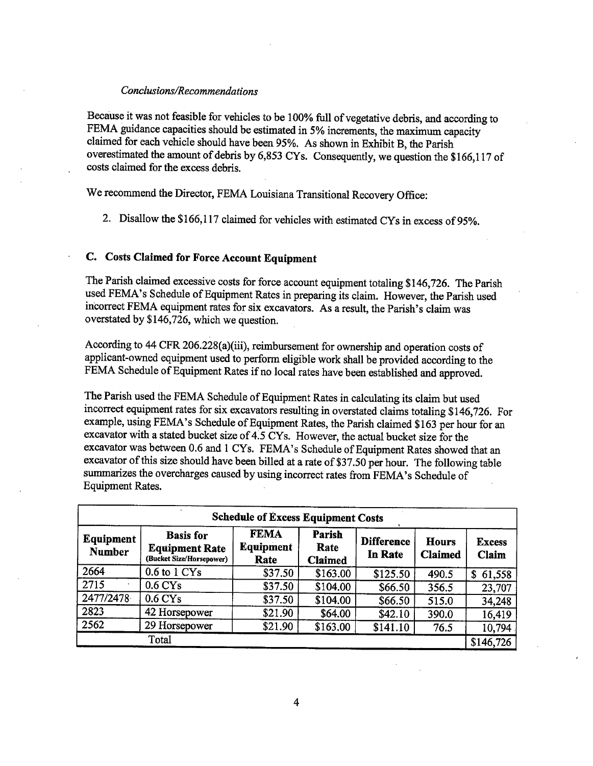#### Conclusions/Recommendations

Because it was not feasible for vehicles to be 100% full of vegetative debris, and according to FEMA guidance capacities should be estimated in 5% increments, the maximum capacity claimed for each vehicle should have been 95%. As shown in Exhibit B, the Parsh overestimated the amount of debris by 6,853 CY s. Consequently, we question the \$166,117 of costs claimed for the excess debris.

We recommend the Director, FEMA Louisiana Transitional Recovery Office:

2. Disallow the \$166,117 claimed for vehicles with estimated CYs in excess of 95%.

## C. Costs Claimed for Force Account Equipment

The Parish claimed excessive costs for force account equipment totaling \$146,726. The Parish used FEMA's Schedule of Equipment Rates in preparing its claim. However, the Parish used incorrect FEMA equipment rates for six excavators. As a result, the Parsh's claim was overstated by \$146,726, which we question.

According to 44 CFR 206.228(a)(ii), reimbursement for ownership and operation costs of applicant-owned equipment used to perform eligible work shall be provided according to the FEMA Schedule of Equipment Rates if no local rates have been established and approved.

The Parish used the FEMA Schedule of Equipment Rates in calculating its claim but used incorrect equipment rates for six excavators resulting in overstated claims totaling \$146,726. For example, using FEMA's Schedule of Equipment Rates, the Parish claimed \$163 per hour for an excavator with a stated bucket size of 4:5 CYs. However, the actual bucket size for the excavator was between 0.6 and 1 CYs. FEMA's Schedule of Equipment Rates showed that an excavator of this size should have been billed at a rate of \$37.50 per hour. The following table summarizes the overcharges caused by using incorrect rates from FEMA's Schedule of Equipment Rates.

| <b>Schedule of Excess Equipment Costs</b> |                                                                       |                                  |                                  |                                                                |       |                        |  |  |  |
|-------------------------------------------|-----------------------------------------------------------------------|----------------------------------|----------------------------------|----------------------------------------------------------------|-------|------------------------|--|--|--|
| Equipment<br><b>Number</b>                | <b>Basis</b> for<br><b>Equipment Rate</b><br>(Bucket Size/Horsepower) | <b>FEMA</b><br>Equipment<br>Rate | Parish<br>Rate<br><b>Claimed</b> | <b>Difference</b><br><b>Hours</b><br>In Rate<br><b>Claimed</b> |       | <b>Excess</b><br>Claim |  |  |  |
| 2664                                      | 0.6 to 1 CY <sub>s</sub>                                              | \$37.50                          | \$163.00                         | \$125.50                                                       | 490.5 | 61,558<br>\$           |  |  |  |
| 2715                                      | 0.6 <sub>CYs</sub>                                                    | \$37.50                          | \$104.00                         | \$66.50                                                        | 356.5 | 23,707                 |  |  |  |
| 2477/2478                                 | $0.6 \mathrm{CYs}$                                                    | \$37.50                          | \$104.00                         | \$66.50                                                        | 515.0 | 34,248                 |  |  |  |
| 2823                                      | 42 Horsepower                                                         | \$21.90                          | \$64.00                          | \$42.10                                                        | 390.0 | 16,419                 |  |  |  |
| 2562                                      | 29 Horsepower                                                         | \$21.90                          | \$163.00                         | \$141.10                                                       | 76.5  | 10,794                 |  |  |  |
| Total<br>\$146,726                        |                                                                       |                                  |                                  |                                                                |       |                        |  |  |  |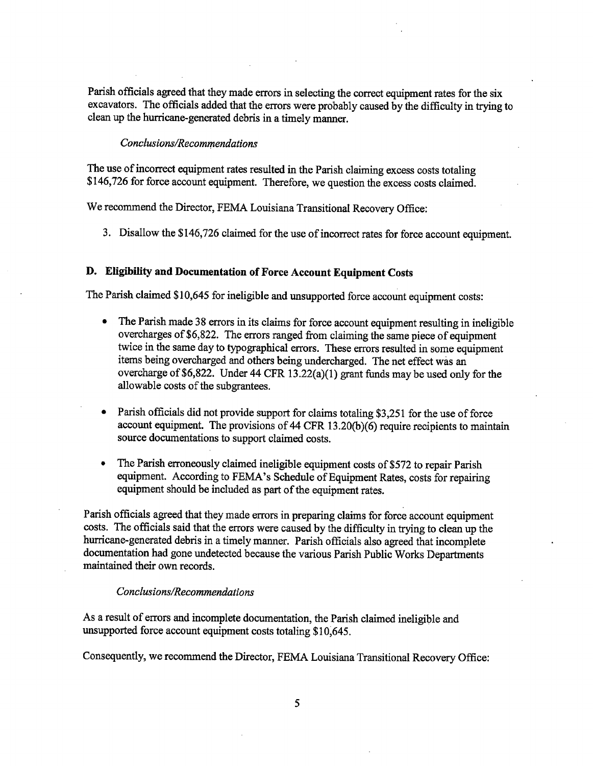Parish officials agreed that they made errors in selecting the correct equipment rates for the six excavators. The officials added that the errors were probably caused by the difficulty in trying to clean up the hurricane-generated debris in a timely manner.

#### Conclusions/Recommendations

The use of incorrect equipment rates resulted in the Parish claiming excess costs totaling \$146,726 for force account equipment. Therefore, we question the excess costs claimed.

We recommend the Director, FEMA Louisiana Transitional Recovery Office:

3. Disallow the \$146,726 claimed for the use of incorrect rates for force account equipment.

## D. Eligibilty and Documentation of Force Account Equipment Costs

The Parish claimed \$10,645 for ineligible and unsupported force account equipment costs:

- The Parish made 38 errors in its claims for force account equipment resulting in ineligible overcharges of \$6,822. The errors ranged from claiming the same piece of equipment twice in the same day to tyographical errors. These erors resulted in some equipment items being overcharged and others being undercharged. The net effect was an overcharge of \$6,822. Under 44 CFR 13.22(a)(I) grant funds may be used only for the allowable costs of the subgrantees.
- Parish officials did not provide support for claims totaling \$3,251 for the use of force account equipment. The provisions of 44 CFR 13.20(b)(6) require recipients to maintain source documentations to support claimed costs.
- The Parish erroneously claimed ineligible equipment costs of \$572 to repair Parish equipment. According to FEMA's Schedule of Equipment Rates, costs for repairig equipment should be included as part of the equipment rates.

Parish officials agreed that they made errors in preparing claims for force account equipment costs. The officials said that the errors were caused by the difficulty in trying to clean up the hurricane-generated debris in a timely manner. Parish officials also agreed that incomplete documentation had gone undetected because the various Parish Public Works Departments maintained their own records.

## Conclusions/Recommendations

As a result of errors and incomplete documentation, the Parish claimed ineligible and unsupported force account equipment costs totaling \$10,645.

Consequently, we recommend the Director, FEMA Louisiana Transitional Recovery Office: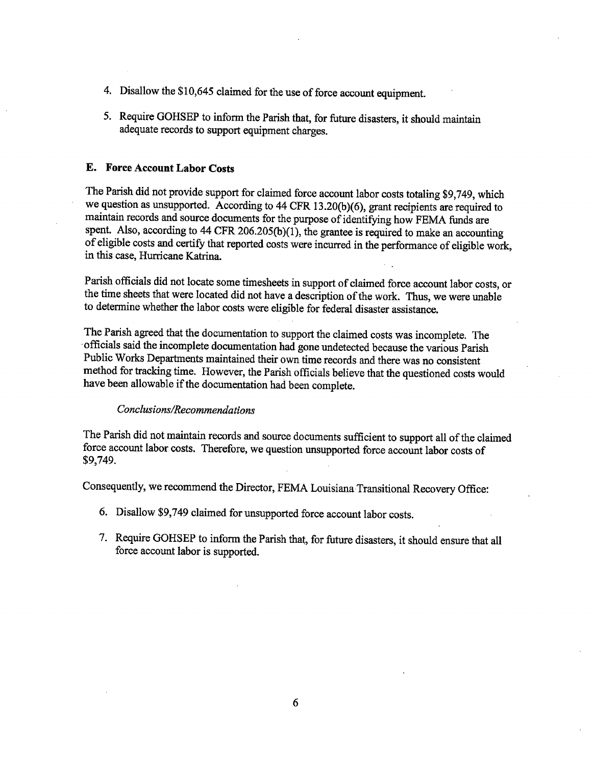- 4. Disallow the \$10,645 claimed for the use of force account equipment.
- 5. Require GOHSEP to inform the Parsh that, for future disasters, it should maintain adequate records to support equipment charges.

## E. Force Account Labor Costs

The Parish did not provide support for claimed force account labor costs totaling \$9,749, which we question as unsupported. According to  $44$  CFR 13.20(b)(6), grant recipients are required to maintain records and source documents for the purose of identifyng how FEMA fuds are spent. Also, according to 44 CFR 206.205(b)(1), the grantee is required to make an accounting of eligible costs and certfy that reported costs were incurred in the performance of eligible work, in this case, Hurricane Katrina.

r alish officials did not locate some timesheets in support of claimed force account labor costs, or the time sheets that were located did not have a descrption of the work. Thus, we were unable to determine whether the labor costs were eligible for federal disaster assistance.

The Parsh agreed that the documentation to support the claimed costs was incomplete. The officials said the incomplete documentation had gone undetected because the various Parish Public Works Departments maintained their own time records and there was no consistent method for tracking time. However, the Parish officials believe that the questioned costs would have been allowable if the documentation had been complete.

#### Conclusions/Recommendations

The Parish did not maintain records and source documents sufficient to support all of the claimed force account labor costs. Therefore, we question unsupported force account labor costs of \$9,749.

Consequently, we recommend the Director, FEMA Louisiana Transitional Recovery Office:

- 6. Disallow \$9,749 claimed for unsupported force account labor costs.
- 7. Require GOHSEP to inform the Parish that, for future disasters, it should ensure that all force account labor is supported.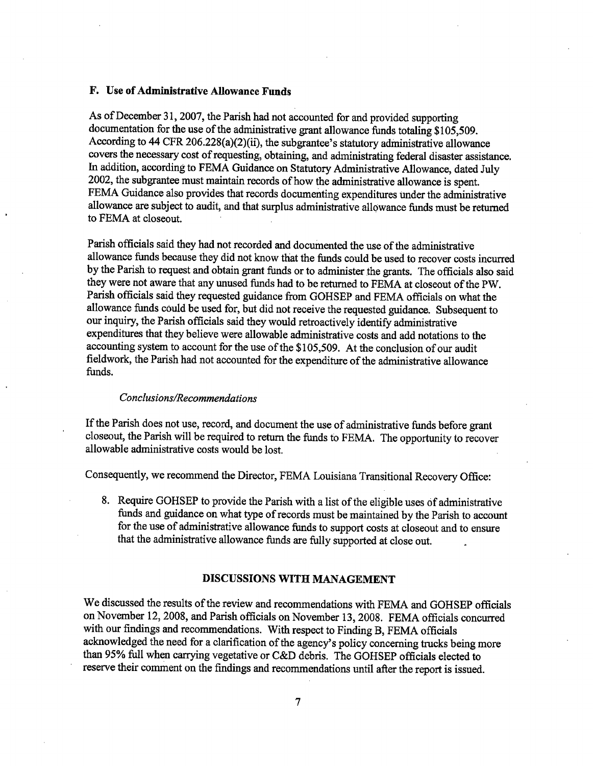## F. Use of Admistrative Alowance Funds

As of December 31, 2007, the Parish had not accounted for and provided supporting documentation for the use of the administrative grant allowance funds totaling \$105,509. According to 44 CFR 206.228(a)(2)(ii), the subgrantee's statutory administrative allowance covers the necessary cost of requesting, obtaining, and administratig federal disaster assistance. In addition, according to FEMA Guidance on Statutory Administrative Allowance, dated July 2002, the subgrantee must maintain records of how the administrative allowance is spent. FEMA Guidance also provides that records documenting expenditures under the administrative allowance are subject to audit, and that surplus administrative allowance funds must be returned to FEMA at closeout.

Parish officials said they had not recorded and documented the use of the administrative allowance fuds because they did not know that the funds could be used to recover costs incured by the Parish to request and obtain grant funds or to administer the grants. The officials also said they were not aware that any unused funds had to be returned to FEMA at closeout of the PW. Parish officials said they requested guidance from GOHSEP and FEMA officials on what the allowance fuds could be used for, but did not receive the requested gudance. Subsequent to our inquiry, the Parish officials said they would retroactively identify administrative expenditures that they believe were allowable adminstrative costs and add notations to the accounting system to account for the use of the \$105,509. At the conclusion of our audit fieldwork, the Parish had not accounted for the expenditure of the administrative allowance funds.

#### Conclusions/Recommendations

If the Parsh does not use, record, and document the use of administrative fuds before grant closeout, the Parish will be required to return the funds to FEMA. The opportunity to recover allowable administrative costs would be lost.

Consequently, we recommend the Director, FEMA Louisiana Transitional Recovery Office:

8. Require GOHSEP to provide the Parish with a list of the eligible uses of administrative fuds and gudance on what type of records must be maintained by the Parsh to account for the use of administrative allowance fuds to support costs at closeout and to ensure that the administrative allowance funds are fully supported at close out.

#### DISCUSSIONS WITH MANAGEMENT

We discussed the results of the review and recommendations with FEMA and GOHSEP officials on November 12, 2008, and Parish officials on November 13, 2008. FEMA officials concurred with our findings and recommendations. With respect to Finding B, FEMA officials acknowledged the need for a clarification of the agency's policy concerning trucks being more than 95% full when carrying vegetative or C&D debris. The GOHSEP officials elected to reserve their comment on the findings and recommendations until after the report is issued.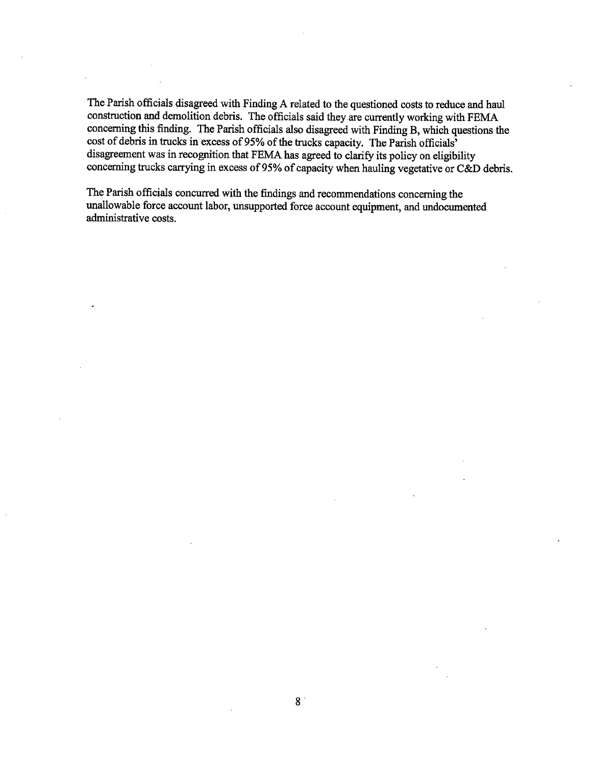The Parish officials disagreed with Finding A related to the questioned costs to reduce and haul construction and demolition debris. The officials said they are currently working with FEMA concerning this finding. The Parish officials also disagreed with Finding B, which questions the cost of debris in trucks in excess of 95% of the trucks capacity. The Parish officials' disagreement was in recognition that FEMA has agreed to clarify its policy on eligibility concerning trucks carrying in excess of 95% of capacity when hauling vegetative or C&D debris.

The Parish officials concurred with the findings and recommendations concerning the unallowable force account labor, unsupported force account equipment, and undocumented adminstrative costs.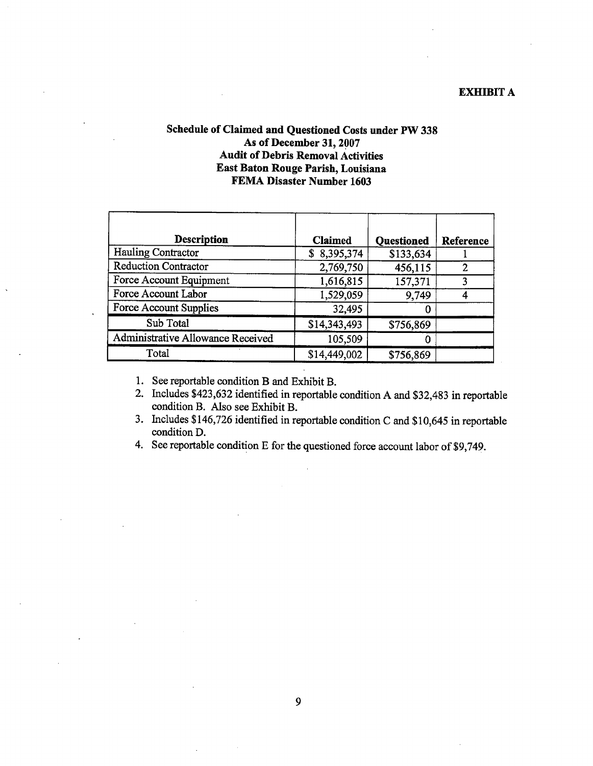## EXHIBIT A

## Schedule of Claimed and Questioned Costs under PW 338 As of December 31, 2007 Audit of Debris Removal Activities East Baton Rouge Parish, Louisiana FEMA Disaster Number 1603

| Description                       | Claimed      | <b>Questioned</b> | Reference |
|-----------------------------------|--------------|-------------------|-----------|
| Hauling Contractor                | \$8,395,374  | \$133,634         |           |
| <b>Reduction Contractor</b>       | 2,769,750    | 456,115           | 2         |
| Force Account Equipment           | 1,616,815    | 157,371           |           |
| Force Account Labor               | 1,529,059    | 9,749             |           |
| Force Account Supplies            | 32,495       | 0                 |           |
| Sub Total                         | \$14,343,493 | \$756,869         |           |
| Administrative Allowance Received | 105,509      |                   |           |
| Total                             | \$14,449,002 | \$756,869         |           |

1. See reportable condition B and Exhibit B.

- 2. Includes \$423,632 identified in reportable condition A and \$32,483 in reportable condition B. Also see Exhibit B.
- 3. Includes \$146,726 identified in reportable condition C and \$10,645 in reportable condition D.
- 4. See reportable condition E for the questioned force account labor of \$9,749.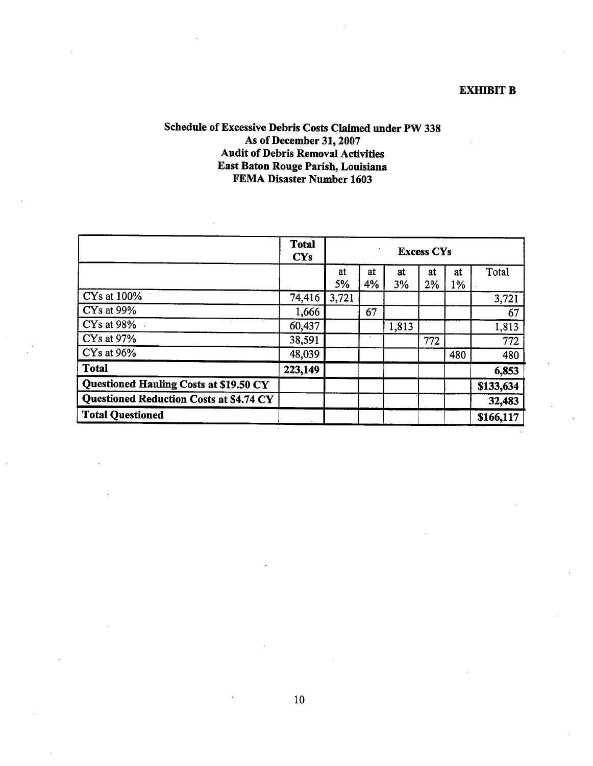## EXHIBIT B

## Schedule of Excessive Debris Costs Claimed under PW 338 As of December 31, 2007 Audit of Debris Removal Activities East Baton Rouge Parish, Louisiana FEMA Disaster Number 1603

|                                                | <b>Total</b><br>$cys$ | ٠<br><b>Excess CYs</b> |          |          |          |          |           |
|------------------------------------------------|-----------------------|------------------------|----------|----------|----------|----------|-----------|
|                                                |                       | at<br>5%               | at<br>4% | at<br>3% | at<br>2% | at<br>1% | Total     |
| CY <sub>s</sub> at 100%                        | 74,416                | 3,721                  |          |          |          |          | 3,721     |
| CYs at 99%                                     | 1,666                 |                        | 67       |          |          |          | 67        |
| $CYs$ at 98%                                   | 60,437                |                        |          | 1,813    |          |          | 1,813     |
| CYs at 97%                                     | 38,591                |                        |          |          | 772      |          | 772       |
| CYs at 96%                                     | 48,039                |                        |          |          |          | 480      | 480       |
| <b>Total</b>                                   | 223,149               |                        |          |          |          |          | 6,853     |
| <b>Questioned Hauling Costs at \$19.50 CY</b>  |                       |                        |          |          |          |          | \$133,634 |
| <b>Questioned Reduction Costs at \$4.74 CY</b> |                       |                        |          |          |          |          | 32,483    |
| <b>Total Questioned</b>                        |                       |                        |          |          |          |          | \$166,117 |